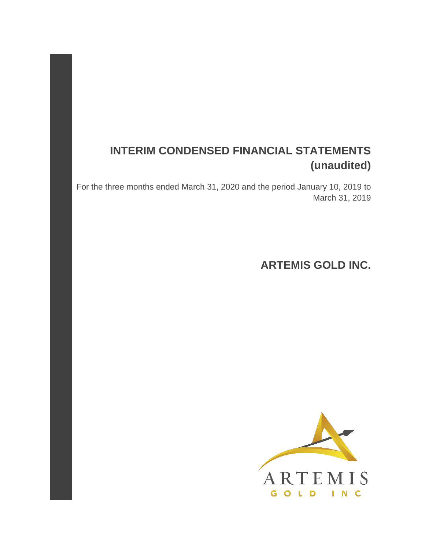# **INTERIM CONDENSED FINANCIAL STATEMENTS (unaudited)**

For the three months ended March 31, 2020 and the period January 10, 2019 to March 31, 2019

**ARTEMIS GOLD INC.** 

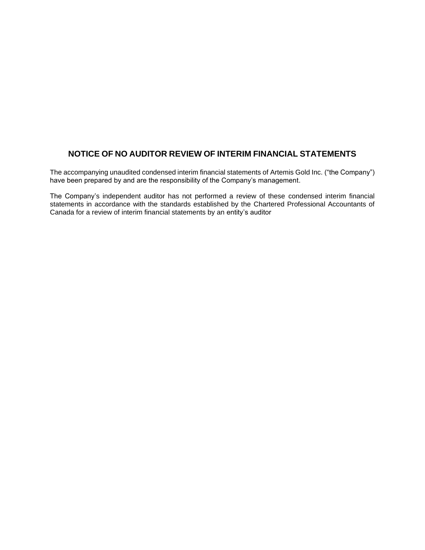### **NOTICE OF NO AUDITOR REVIEW OF INTERIM FINANCIAL STATEMENTS**

The accompanying unaudited condensed interim financial statements of Artemis Gold Inc. ("the Company") have been prepared by and are the responsibility of the Company's management.

The Company's independent auditor has not performed a review of these condensed interim financial statements in accordance with the standards established by the Chartered Professional Accountants of Canada for a review of interim financial statements by an entity's auditor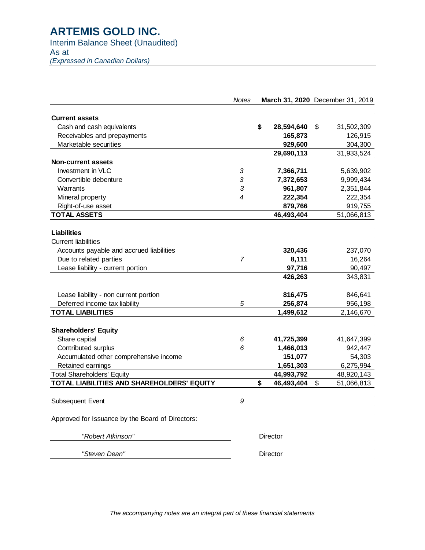### Interim Balance Sheet (Unaudited)

As at

*(Expressed in Canadian Dollars)*

|                                                  | <b>Notes</b> | March 31, 2020 December 31, 2019 |                  |
|--------------------------------------------------|--------------|----------------------------------|------------------|
| <b>Current assets</b>                            |              |                                  |                  |
| Cash and cash equivalents                        |              | \$<br>28,594,640                 | \$<br>31,502,309 |
| Receivables and prepayments                      |              | 165,873                          | 126,915          |
| Marketable securities                            |              | 929,600                          | 304,300          |
|                                                  |              | 29,690,113                       | 31,933,524       |
| <b>Non-current assets</b>                        |              |                                  |                  |
| Investment in VLC                                | 3            | 7,366,711                        | 5,639,902        |
| Convertible debenture                            | 3            | 7,372,653                        | 9,999,434        |
| Warrants                                         | 3            | 961,807                          | 2,351,844        |
| Mineral property                                 | 4            | 222,354                          | 222,354          |
| Right-of-use asset                               |              | 879,766                          | 919,755          |
| <b>TOTAL ASSETS</b>                              |              | 46,493,404                       | 51,066,813       |
| <b>Liabilities</b><br><b>Current liabilities</b> |              |                                  |                  |
| Accounts payable and accrued liabilities         |              | 320,436                          | 237,070          |
| Due to related parties                           | 7            | 8,111                            | 16,264           |
| Lease liability - current portion                |              | 97,716                           | 90,497           |
|                                                  |              | 426,263                          | 343,831          |
| Lease liability - non current portion            |              | 816,475                          | 846,641          |
| Deferred income tax liability                    | 5            | 256,874                          | 956,198          |
| <b>TOTAL LIABILITIES</b>                         |              | 1,499,612                        | 2,146,670        |
| <b>Shareholders' Equity</b>                      |              |                                  |                  |
| Share capital                                    | 6            | 41,725,399                       | 41,647,399       |
| Contributed surplus                              | 6            | 1,466,013                        | 942,447          |
| Accumulated other comprehensive income           |              | 151,077                          | 54,303           |
| Retained earnings                                |              | 1,651,303                        | 6,275,994        |
| <b>Total Shareholders' Equity</b>                |              | 44,993,792                       | 48,920,143       |
| TOTAL LIABILITIES AND SHAREHOLDERS' EQUITY       |              | \$<br>46,493,404                 | \$<br>51,066,813 |
|                                                  |              |                                  |                  |
| Subsequent Event                                 | 9            |                                  |                  |
| Approved for Issuance by the Board of Directors: |              |                                  |                  |
| "Robert Atkinson"                                |              | Director                         |                  |

 *"Steven Dean"* Director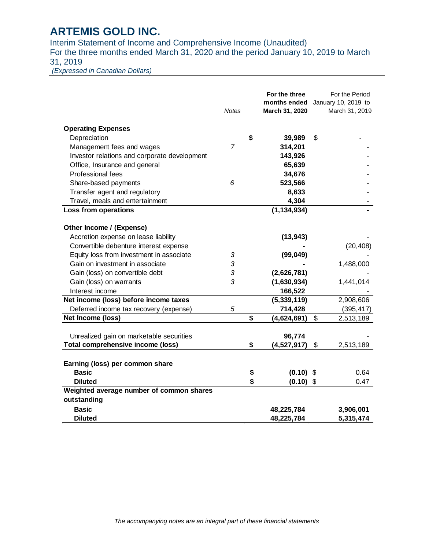Interim Statement of Income and Comprehensive Income (Unaudited) For the three months ended March 31, 2020 and the period January 10, 2019 to March 31, 2019

*(Expressed in Canadian Dollars)*

|                                                            | <b>Notes</b> |          | For the three<br>months ended<br>March 31, 2020 | For the Period<br>January 10, 2019 to<br>March 31, 2019 |
|------------------------------------------------------------|--------------|----------|-------------------------------------------------|---------------------------------------------------------|
|                                                            |              |          |                                                 |                                                         |
| <b>Operating Expenses</b>                                  |              |          |                                                 |                                                         |
| Depreciation                                               |              | \$       | 39,989                                          | \$                                                      |
| Management fees and wages                                  | 7            |          | 314,201                                         |                                                         |
| Investor relations and corporate development               |              |          | 143,926                                         |                                                         |
| Office, Insurance and general                              |              |          | 65,639                                          |                                                         |
| Professional fees                                          |              |          | 34,676                                          |                                                         |
| Share-based payments                                       | 6            |          | 523,566                                         |                                                         |
| Transfer agent and regulatory                              |              |          | 8,633                                           |                                                         |
| Travel, meals and entertainment                            |              |          | 4,304                                           |                                                         |
| Loss from operations                                       |              |          | (1, 134, 934)                                   |                                                         |
| Other Income / (Expense)                                   |              |          |                                                 |                                                         |
| Accretion expense on lease liability                       |              |          | (13, 943)                                       |                                                         |
| Convertible debenture interest expense                     |              |          |                                                 | (20, 408)                                               |
| Equity loss from investment in associate                   | 3            |          | (99, 049)                                       |                                                         |
| Gain on investment in associate                            | 3            |          |                                                 | 1,488,000                                               |
| Gain (loss) on convertible debt                            | 3            |          | (2,626,781)                                     |                                                         |
| Gain (loss) on warrants                                    | 3            |          | (1,630,934)                                     | 1,441,014                                               |
| Interest income                                            |              |          | 166,522                                         |                                                         |
| Net income (loss) before income taxes                      |              |          | (5,339,119)                                     | 2,908,606                                               |
| Deferred income tax recovery (expense)                     | 5            |          | 714,428                                         | (395, 417)                                              |
| Net Income (loss)                                          |              | \$       | (4,624,691)                                     | \$<br>2,513,189                                         |
| Unrealized gain on marketable securities                   |              |          | 96,774                                          |                                                         |
| <b>Total comprehensive income (loss)</b>                   |              | \$       | (4,527,917)                                     | \$<br>2,513,189                                         |
|                                                            |              |          |                                                 |                                                         |
| Earning (loss) per common share<br><b>Basic</b>            |              |          |                                                 | 0.64                                                    |
|                                                            |              | \$<br>\$ | $(0.10)$ \$                                     |                                                         |
| <b>Diluted</b><br>Weighted average number of common shares |              |          | (0.10)                                          | \$<br>0.47                                              |
| outstanding                                                |              |          |                                                 |                                                         |
| <b>Basic</b>                                               |              |          | 48,225,784                                      | 3,906,001                                               |
| <b>Diluted</b>                                             |              |          | 48,225,784                                      | 5,315,474                                               |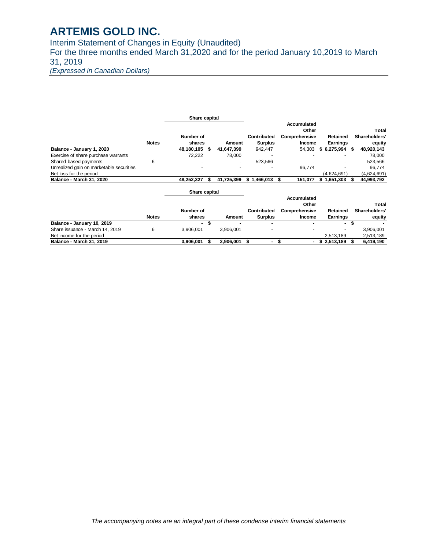Interim Statement of Changes in Equity (Unaudited) For the three months ended March 31,2020 and for the period January 10,2019 to March 31, 2019

*(Expressed in Canadian Dollars)*

|                                          |              | Share capital  |     |               |                    |                |                    |                 |    |               |
|------------------------------------------|--------------|----------------|-----|---------------|--------------------|----------------|--------------------|-----------------|----|---------------|
|                                          |              |                |     |               |                    |                | <b>Accumulated</b> |                 |    |               |
|                                          |              |                |     |               |                    |                | Other              |                 |    | Total         |
|                                          |              | Number of      |     |               | <b>Contributed</b> |                | Comprehensive      | <b>Retained</b> |    | Shareholders' |
|                                          | <b>Notes</b> | shares         |     | <b>Amount</b> |                    | <b>Surplus</b> | Income             | <b>Earnings</b> |    | equity        |
| Balance - January 1, 2020                |              | 48,180,105     | \$. | 41,647,399    |                    | 942,447        | 54,303             | \$6,275,994     | S  | 48,920,143    |
| Exercise of share purchase warrants      |              | 72,222         |     | 78,000        |                    |                |                    |                 |    | 78,000        |
| Shared-based payments                    | 6            |                |     |               |                    | 523,566        |                    |                 |    | 523,566       |
| Unrealized gain on marketable securities |              |                |     |               |                    |                | 96,774             |                 |    | 96,774        |
| Net loss for the period                  |              |                |     |               |                    |                |                    | (4,624,691)     |    | (4,624,691)   |
| <b>Balance - March 31, 2020</b>          |              | 48,252,327     | \$  | 41,725,399    | \$1,466,013        |                | 151,077<br>S       | \$1,651,303     |    | 44,993,792    |
|                                          |              | Share capital  |     |               |                    |                |                    |                 |    |               |
|                                          |              |                |     |               |                    |                | <b>Accumulated</b> |                 |    |               |
|                                          |              |                |     |               |                    |                | Other              |                 |    | Total         |
|                                          |              | Number of      |     |               | Contributed        |                | Comprehensive      | <b>Retained</b> |    | Shareholders' |
|                                          | <b>Notes</b> | shares         |     | Amount        |                    | <b>Surplus</b> | Income             | Earnings        |    | equity        |
| Balance - January 10, 2019               |              | $\blacksquare$ | \$  |               |                    |                |                    | ۰.              | \$ |               |
| Share issuance - March 14, 2019          | 6            | 3,906,001      |     | 3,906,001     |                    |                |                    |                 |    | 3,906,001     |
| Net income for the period                |              |                |     |               |                    |                | ٠                  | 2,513,189       |    | 2,513,189     |
| <b>Balance - March 31, 2019</b>          |              | 3,906,001      |     | 3,906,001     | \$.                | $\blacksquare$ | \$<br>۰.           | 2,513,189       |    | 6,419,190     |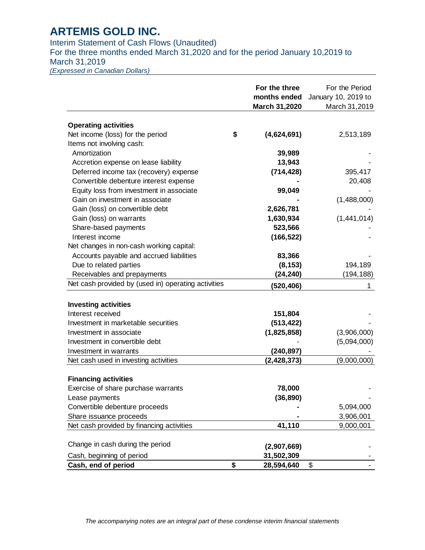Interim Statement of Cash Flows (Unaudited)

For the three months ended March 31,2020 and for the period January 10,2019 to March 31,2019

*(Expressed in Canadian Dollars)*

|                                                     | For the three     | For the Period      |
|-----------------------------------------------------|-------------------|---------------------|
|                                                     | months ended      | January 10, 2019 to |
|                                                     | March 31,2020     | March 31,2019       |
| <b>Operating activities</b>                         |                   |                     |
| Net income (loss) for the period                    | \$<br>(4,624,691) | 2,513,189           |
| Items not involving cash:                           |                   |                     |
| Amortization                                        | 39,989            |                     |
| Accretion expense on lease liability                | 13,943            |                     |
| Deferred income tax (recovery) expense              | (714, 428)        | 395,417             |
| Convertible debenture interest expense              |                   | 20,408              |
| Equity loss from investment in associate            | 99,049            |                     |
| Gain on investment in associate                     |                   | (1,488,000)         |
| Gain (loss) on convertible debt                     | 2,626,781         |                     |
| Gain (loss) on warrants                             | 1,630,934         | (1,441,014)         |
| Share-based payments                                | 523,566           |                     |
| Interest income                                     | (166, 522)        |                     |
| Net changes in non-cash working capital:            |                   |                     |
| Accounts payable and accrued liabilities            | 83,366            |                     |
| Due to related parties                              | (8, 153)          | 194,189             |
| Receivables and prepayments                         | (24,240)          | (194, 188)          |
| Net cash provided by (used in) operating activities | (520, 406)        | 1                   |
|                                                     |                   |                     |
| <b>Investing activities</b><br>Interest received    | 151,804           |                     |
| Investment in marketable securities                 | (513, 422)        |                     |
| Investment in associate                             |                   |                     |
| Investment in convertible debt                      | (1,825,858)       | (3,906,000)         |
| Investment in warrants                              | (240, 897)        | (5,094,000)         |
| Net cash used in investing activities               | (2, 428, 373)     | (9,000,000)         |
|                                                     |                   |                     |
| <b>Financing activities</b>                         |                   |                     |
| Exercise of share purchase warrants                 | 78,000            |                     |
| Lease payments                                      | (36, 890)         |                     |
| Convertible debenture proceeds                      |                   | 5,094,000           |
| Share issuance proceeds                             |                   | 3,906,001           |
| Net cash provided by financing activities           | 41,110            | 9,000,001           |
| Change in cash during the period                    |                   |                     |
|                                                     | (2,907,669)       |                     |
| Cash, beginning of period                           | 31,502,309        |                     |
| Cash, end of period                                 | \$<br>28,594,640  | \$                  |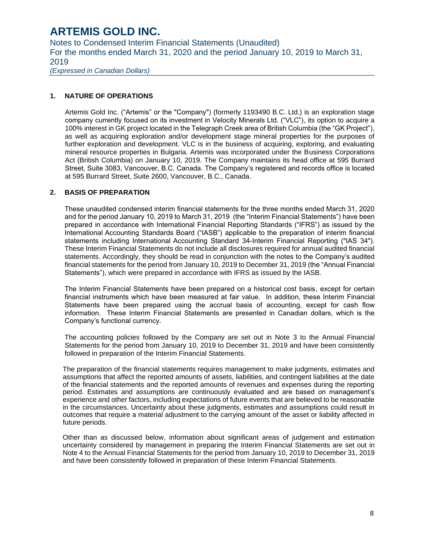Notes to Condensed Interim Financial Statements (Unaudited) For the months ended March 31, 2020 and the period January 10, 2019 to March 31, 2019

*(Expressed in Canadian Dollars)*

#### **1. NATURE OF OPERATIONS**

Artemis Gold Inc. ("Artemis" or the "Company") (formerly 1193490 B.C. Ltd.) is an exploration stage company currently focused on its investment in Velocity Minerals Ltd. ("VLC"), its option to acquire a 100% interest in GK project located in the Telegraph Creek area of British Columbia (the "GK Project"), as well as acquiring exploration and/or development stage mineral properties for the purposes of further exploration and development. VLC is in the business of acquiring, exploring, and evaluating mineral resource properties in Bulgaria. Artemis was incorporated under the Business Corporations Act (British Columbia) on January 10, 2019. The Company maintains its head office at 595 Burrard Street, Suite 3083, Vancouver, B.C. Canada. The Company's registered and records office is located at 595 Burrard Street, Suite 2600, Vancouver, B.C., Canada.

#### **2. BASIS OF PREPARATION**

These unaudited condensed interim financial statements for the three months ended March 31, 2020 and for the period January 10, 2019 to March 31, 2019 (the "Interim Financial Statements") have been prepared in accordance with International Financial Reporting Standards ("IFRS") as issued by the International Accounting Standards Board ("IASB") applicable to the preparation of interim financial statements including International Accounting Standard 34-Interim Financial Reporting ("IAS 34"). These Interim Financial Statements do not include all disclosures required for annual audited financial statements. Accordingly, they should be read in conjunction with the notes to the Company's audited financial statements for the period from January 10, 2019 to December 31, 2019 (the "Annual Financial Statements"), which were prepared in accordance with IFRS as issued by the IASB.

The Interim Financial Statements have been prepared on a historical cost basis, except for certain financial instruments which have been measured at fair value. In addition, these Interim Financial Statements have been prepared using the accrual basis of accounting, except for cash flow information. These Interim Financial Statements are presented in Canadian dollars, which is the Company's functional currency.

The accounting policies followed by the Company are set out in Note 3 to the Annual Financial Statements for the period from January 10, 2019 to December 31, 2019 and have been consistently followed in preparation of the Interim Financial Statements.

The preparation of the financial statements requires management to make judgments, estimates and assumptions that affect the reported amounts of assets, liabilities, and contingent liabilities at the date of the financial statements and the reported amounts of revenues and expenses during the reporting period. Estimates and assumptions are continuously evaluated and are based on management's experience and other factors, including expectations of future events that are believed to be reasonable in the circumstances. Uncertainty about these judgments, estimates and assumptions could result in outcomes that require a material adjustment to the carrying amount of the asset or liability affected in future periods.

Other than as discussed below, information about significant areas of judgement and estimation uncertainty considered by management in preparing the Interim Financial Statements are set out in Note 4 to the Annual Financial Statements for the period from January 10, 2019 to December 31, 2019 and have been consistently followed in preparation of these Interim Financial Statements.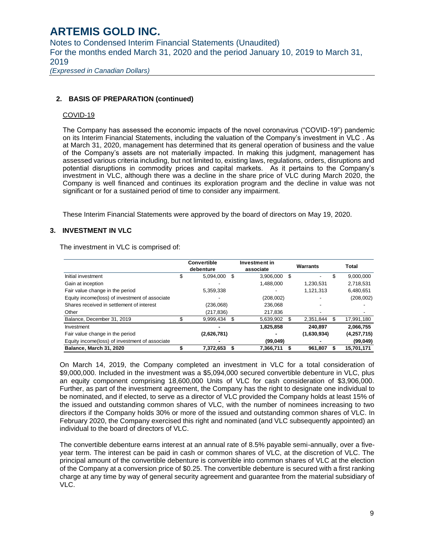Notes to Condensed Interim Financial Statements (Unaudited) For the months ended March 31, 2020 and the period January 10, 2019 to March 31, 2019 *(Expressed in Canadian Dollars)*

### **2. BASIS OF PREPARATION (continued)**

#### COVID-19

The Company has assessed the economic impacts of the novel coronavirus ("COVID-19") pandemic on its Interim Financial Statements, including the valuation of the Company's investment in VLC . As at March 31, 2020, management has determined that its general operation of business and the value of the Company's assets are not materially impacted. In making this judgment, management has assessed various criteria including, but not limited to, existing laws, regulations, orders, disruptions and potential disruptions in commodity prices and capital markets. As it pertains to the Company's investment in VLC, although there was a decline in the share price of VLC during March 2020, the Company is well financed and continues its exploration program and the decline in value was not significant or for a sustained period of time to consider any impairment.

These Interim Financial Statements were approved by the board of directors on May 19, 2020.

### **3. INVESTMENT IN VLC**

The investment in VLC is comprised of:

|                                                |    | <b>Convertible</b><br>debenture |    | Investment in<br>associate |     | Warrants    |    | Total       |
|------------------------------------------------|----|---------------------------------|----|----------------------------|-----|-------------|----|-------------|
| Initial investment                             | J. | 5,094,000                       | \$ | 3,906,000                  | \$. |             | ъ  | 9,000,000   |
| Gain at inception                              |    |                                 |    | 1,488,000                  |     | 1.230.531   |    | 2,718,531   |
| Fair value change in the period                |    | 5,359,338                       |    |                            |     | 1,121,313   |    | 6,480,651   |
| Equity income(loss) of investment of associate |    |                                 |    | (208,002)                  |     |             |    | (208,002)   |
| Shares received in settlement of interest      |    | (236,068)                       |    | 236.068                    |     |             |    |             |
| Other                                          |    | (217,836)                       |    | 217.836                    |     |             |    |             |
| Balance, December 31, 2019                     |    | 9,999,434                       |    | 5,639,902                  |     | 2.351.844   | \$ | 17,991,180  |
| Investment                                     |    |                                 |    | 1,825,858                  |     | 240.897     |    | 2.066.755   |
| Fair value change in the period                |    | (2,626,781)                     |    |                            |     | (1,630,934) |    | (4,257,715) |
| Equity income(loss) of investment of associate |    |                                 |    | (99,049)                   |     |             |    | (99, 049)   |
| Balance, March 31, 2020                        |    | 7.372.653                       |    | 7.366.711                  |     | 961.807     |    | 15.701.171  |

On March 14, 2019, the Company completed an investment in VLC for a total consideration of \$9,000,000. Included in the investment was a \$5,094,000 secured convertible debenture in VLC, plus an equity component comprising 18,600,000 Units of VLC for cash consideration of \$3,906,000. Further, as part of the investment agreement, the Company has the right to designate one individual to be nominated, and if elected, to serve as a director of VLC provided the Company holds at least 15% of the issued and outstanding common shares of VLC, with the number of nominees increasing to two directors if the Company holds 30% or more of the issued and outstanding common shares of VLC. In February 2020, the Company exercised this right and nominated (and VLC subsequently appointed) an individual to the board of directors of VLC.

The convertible debenture earns interest at an annual rate of 8.5% payable semi-annually, over a fiveyear term. The interest can be paid in cash or common shares of VLC, at the discretion of VLC. The principal amount of the convertible debenture is convertible into common shares of VLC at the election of the Company at a conversion price of \$0.25. The convertible debenture is secured with a first ranking charge at any time by way of general security agreement and guarantee from the material subsidiary of VLC.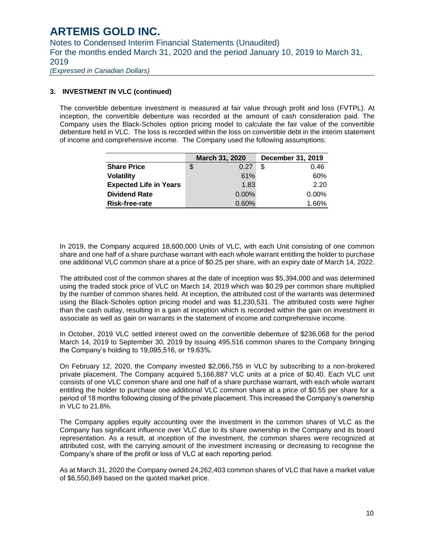Notes to Condensed Interim Financial Statements (Unaudited) For the months ended March 31, 2020 and the period January 10, 2019 to March 31, 2019

*(Expressed in Canadian Dollars)*

#### **3. INVESTMENT IN VLC (continued)**

The convertible debenture investment is measured at fair value through profit and loss (FVTPL). At inception, the convertible debenture was recorded at the amount of cash consideration paid. The Company uses the Black-Scholes option pricing model to calculate the fair value of the convertible debenture held in VLC. The loss is recorded within the loss on convertible debt in the interim statement of income and comprehensive income. The Company used the following assumptions:

|                               | March 31, 2020 | December 31, 2019 |
|-------------------------------|----------------|-------------------|
| <b>Share Price</b>            | \$<br>0.27     | -S<br>0.46        |
| <b>Volatility</b>             | 61%            | 60%               |
| <b>Expected Life in Years</b> | 1.83           | 2.20              |
| <b>Dividend Rate</b>          | $0.00\%$       | $0.00\%$          |
| Risk-free-rate                | 0.60%          | 1.66%             |

In 2019, the Company acquired 18,600,000 Units of VLC, with each Unit consisting of one common share and one half of a share purchase warrant with each whole warrant entitling the holder to purchase one additional VLC common share at a price of \$0.25 per share, with an expiry date of March 14, 2022.

The attributed cost of the common shares at the date of inception was \$5,394,000 and was determined using the traded stock price of VLC on March 14, 2019 which was \$0.29 per common share multiplied by the number of common shares held. At inception, the attributed cost of the warrants was determined using the Black-Scholes option pricing model and was \$1,230,531. The attributed costs were higher than the cash outlay, resulting in a gain at inception which is recorded within the gain on investment in associate as well as gain on warrants in the statement of income and comprehensive income.

In October, 2019 VLC settled interest owed on the convertible debenture of \$236,068 for the period March 14, 2019 to September 30, 2019 by issuing 495,516 common shares to the Company bringing the Company's holding to 19,095,516, or 19.63%.

On February 12, 2020, the Company invested \$2,066,755 in VLC by subscribing to a non-brokered private placement. The Company acquired 5,166,887 VLC units at a price of \$0.40. Each VLC unit consists of one VLC common share and one half of a share purchase warrant, with each whole warrant entitling the holder to purchase one additional VLC common share at a price of \$0.55 per share for a period of 18 months following closing of the private placement. This increased the Company's ownership in VLC to 21.6%.

The Company applies equity accounting over the investment in the common shares of VLC as the Company has significant influence over VLC due to its share ownership in the Company and its board representation. As a result, at inception of the investment, the common shares were recognized at attributed cost, with the carrying amount of the investment increasing or decreasing to recognise the Company's share of the profit or loss of VLC at each reporting period.

As at March 31, 2020 the Company owned 24,262,403 common shares of VLC that have a market value of \$6,550,849 based on the quoted market price.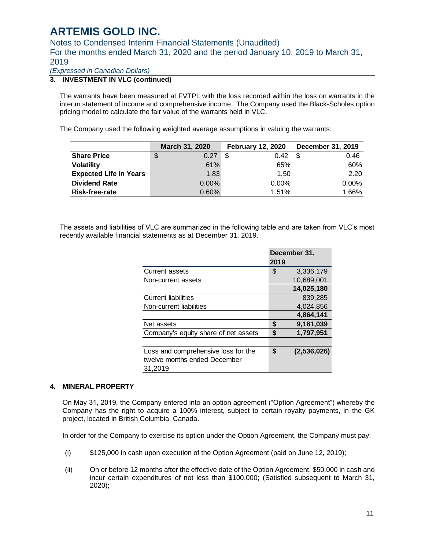Notes to Condensed Interim Financial Statements (Unaudited) For the months ended March 31, 2020 and the period January 10, 2019 to March 31, 2019

*(Expressed in Canadian Dollars)*

### **3. INVESTMENT IN VLC (continued)**

The warrants have been measured at FVTPL with the loss recorded within the loss on warrants in the interim statement of income and comprehensive income. The Company used the Black-Scholes option pricing model to calculate the fair value of the warrants held in VLC.

The Company used the following weighted average assumptions in valuing the warrants:

|                               | March 31, 2020 | <b>February 12, 2020</b> | December 31, 2019 |
|-------------------------------|----------------|--------------------------|-------------------|
| <b>Share Price</b>            | 0.27<br>S      | 0.42                     | -S<br>0.46        |
| <b>Volatility</b>             | 61%            | 65%                      | 60%               |
| <b>Expected Life in Years</b> | 1.83           | 1.50                     | 2.20              |
| <b>Dividend Rate</b>          | $0.00\%$       | $0.00\%$                 | $0.00\%$          |
| Risk-free-rate                | 0.60%          | 1.51%                    | 1.66%             |

The assets and liabilities of VLC are summarized in the following table and are taken from VLC's most recently available financial statements as at December 31, 2019.

|                                      |      | December 31, |
|--------------------------------------|------|--------------|
|                                      | 2019 |              |
| <b>Current assets</b>                | \$   | 3,336,179    |
| Non-current assets                   |      | 10.689.001   |
|                                      |      | 14,025,180   |
| <b>Current liabilities</b>           |      | 839,285      |
| Non-current liabilities              |      | 4.024.856    |
|                                      |      | 4,864,141    |
| Net assets                           | \$   | 9,161,039    |
| Company's equity share of net assets | \$   | 1,797,951    |
|                                      |      |              |
| Loss and comprehensive loss for the  | \$   | (2,536,026)  |
| twelve months ended December         |      |              |
| 31,2019                              |      |              |

#### **4. MINERAL PROPERTY**

On May 31, 2019, the Company entered into an option agreement ("Option Agreement") whereby the Company has the right to acquire a 100% interest, subject to certain royalty payments, in the GK project, located in British Columbia, Canada.

In order for the Company to exercise its option under the Option Agreement, the Company must pay:

- (i) \$125,000 in cash upon execution of the Option Agreement (paid on June 12, 2019);
- (ii) On or before 12 months after the effective date of the Option Agreement, \$50,000 in cash and incur certain expenditures of not less than \$100,000; (Satisfied subsequent to March 31, 2020);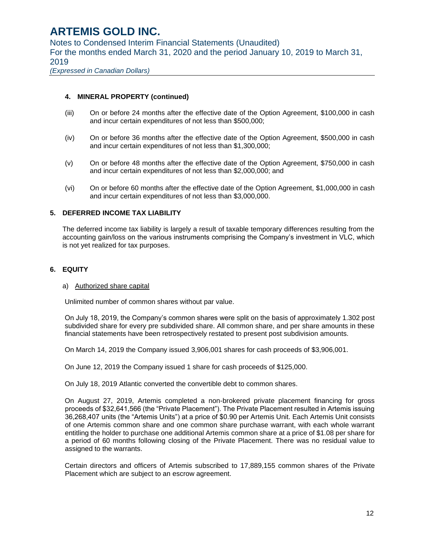Notes to Condensed Interim Financial Statements (Unaudited) For the months ended March 31, 2020 and the period January 10, 2019 to March 31, 2019

*(Expressed in Canadian Dollars)*

### **4. MINERAL PROPERTY (continued)**

- (iii) On or before 24 months after the effective date of the Option Agreement, \$100,000 in cash and incur certain expenditures of not less than \$500,000;
- (iv) On or before 36 months after the effective date of the Option Agreement, \$500,000 in cash and incur certain expenditures of not less than \$1,300,000;
- (v) On or before 48 months after the effective date of the Option Agreement, \$750,000 in cash and incur certain expenditures of not less than \$2,000,000; and
- (vi) On or before 60 months after the effective date of the Option Agreement, \$1,000,000 in cash and incur certain expenditures of not less than \$3,000,000.

### **5. DEFERRED INCOME TAX LIABILITY**

The deferred income tax liability is largely a result of taxable temporary differences resulting from the accounting gain/loss on the various instruments comprising the Company's investment in VLC, which is not yet realized for tax purposes.

### **6. EQUITY**

### a) Authorized share capital

Unlimited number of common shares without par value.

On July 18, 2019, the Company's common shares were split on the basis of approximately 1.302 post subdivided share for every pre subdivided share. All common share, and per share amounts in these financial statements have been retrospectively restated to present post subdivision amounts.

On March 14, 2019 the Company issued 3,906,001 shares for cash proceeds of \$3,906,001.

On June 12, 2019 the Company issued 1 share for cash proceeds of \$125,000.

On July 18, 2019 Atlantic converted the convertible debt to common shares.

On August 27, 2019, Artemis completed a non-brokered private placement financing for gross proceeds of \$32,641,566 (the "Private Placement"). The Private Placement resulted in Artemis issuing 36,268,407 units (the "Artemis Units") at a price of \$0.90 per Artemis Unit. Each Artemis Unit consists of one Artemis common share and one common share purchase warrant, with each whole warrant entitling the holder to purchase one additional Artemis common share at a price of \$1.08 per share for a period of 60 months following closing of the Private Placement. There was no residual value to assigned to the warrants.

Certain directors and officers of Artemis subscribed to 17,889,155 common shares of the Private Placement which are subject to an escrow agreement.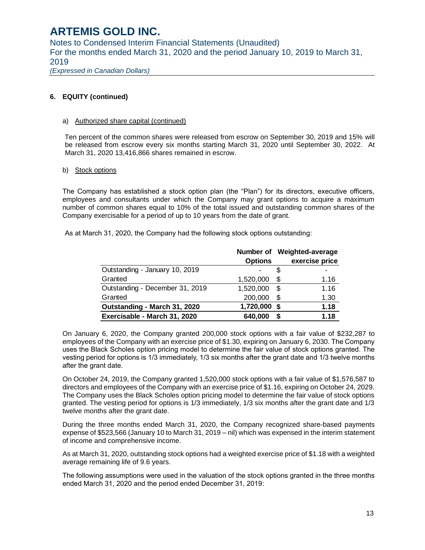Notes to Condensed Interim Financial Statements (Unaudited) For the months ended March 31, 2020 and the period January 10, 2019 to March 31, 2019 *(Expressed in Canadian Dollars)*

**6. EQUITY (continued)**

#### a) Authorized share capital (continued)

Ten percent of the common shares were released from escrow on September 30, 2019 and 15% will be released from escrow every six months starting March 31, 2020 until September 30, 2022. At March 31, 2020 13,416,866 shares remained in escrow.

#### b) Stock options

The Company has established a stock option plan (the "Plan") for its directors, executive officers, employees and consultants under which the Company may grant options to acquire a maximum number of common shares equal to 10% of the total issued and outstanding common shares of the Company exercisable for a period of up to 10 years from the date of grant.

|  |  |  | As at March 31, 2020, the Company had the following stock options outstanding: |
|--|--|--|--------------------------------------------------------------------------------|
|--|--|--|--------------------------------------------------------------------------------|

|                                 |                |    | Number of Weighted-average |
|---------------------------------|----------------|----|----------------------------|
|                                 | <b>Options</b> |    | exercise price             |
| Outstanding - January 10, 2019  |                |    |                            |
| Granted                         | 1,520,000      | \$ | 1.16                       |
| Outstanding - December 31, 2019 | 1,520,000      | S  | 1.16                       |
| Granted                         | 200,000        | S  | 1.30                       |
| Outstanding - March 31, 2020    | 1,720,000      | S  | 1.18                       |
| Exercisable - March 31, 2020    | 640,000        | S  | 1.18                       |

On January 6, 2020, the Company granted 200,000 stock options with a fair value of \$232,287 to employees of the Company with an exercise price of \$1.30, expiring on January 6, 2030. The Company uses the Black Scholes option pricing model to determine the fair value of stock options granted. The vesting period for options is 1/3 immediately, 1/3 six months after the grant date and 1/3 twelve months after the grant date.

On October 24, 2019, the Company granted 1,520,000 stock options with a fair value of \$1,576,587 to directors and employees of the Company with an exercise price of \$1.16, expiring on October 24, 2029. The Company uses the Black Scholes option pricing model to determine the fair value of stock options granted. The vesting period for options is 1/3 immediately, 1/3 six months after the grant date and 1/3 twelve months after the grant date.

During the three months ended March 31, 2020, the Company recognized share-based payments expense of \$523,566 (January 10 to March 31, 2019 – nil) which was expensed in the interim statement of income and comprehensive income.

As at March 31, 2020, outstanding stock options had a weighted exercise price of \$1.18 with a weighted average remaining life of 9.6 years.

The following assumptions were used in the valuation of the stock options granted in the three months ended March 31, 2020 and the period ended December 31, 2019: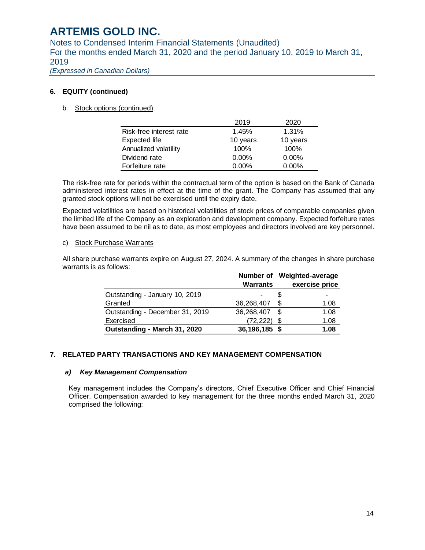Notes to Condensed Interim Financial Statements (Unaudited) For the months ended March 31, 2020 and the period January 10, 2019 to March 31, 2019

*(Expressed in Canadian Dollars)*

### **6. EQUITY (continued)**

#### b. Stock options (continued)

|                         | 2019     | 2020     |
|-------------------------|----------|----------|
| Risk-free interest rate | 1.45%    | 1.31%    |
| Expected life           | 10 years | 10 years |
| Annualized volatility   | 100%     | 100%     |
| Dividend rate           | $0.00\%$ | $0.00\%$ |
| Forfeiture rate         | $0.00\%$ | $0.00\%$ |

The risk-free rate for periods within the contractual term of the option is based on the Bank of Canada administered interest rates in effect at the time of the grant. The Company has assumed that any granted stock options will not be exercised until the expiry date.

Expected volatilities are based on historical volatilities of stock prices of comparable companies given the limited life of the Company as an exploration and development company. Expected forfeiture rates have been assumed to be nil as to date, as most employees and directors involved are key personnel.

#### c) Stock Purchase Warrants

All share purchase warrants expire on August 27, 2024. A summary of the changes in share purchase warrants is as follows:

|                                 |                 |   | Number of Weighted-average |
|---------------------------------|-----------------|---|----------------------------|
|                                 | <b>Warrants</b> |   | exercise price             |
| Outstanding - January 10, 2019  |                 |   |                            |
| Granted                         | 36,268,407      | S | 1.08                       |
| Outstanding - December 31, 2019 | 36,268,407      | S | 1.08                       |
| Exercised                       | (72, 222)       | S | 1.08                       |
| Outstanding - March 31, 2020    | 36,196,185 \$   |   | 1.08                       |

### **7. RELATED PARTY TRANSACTIONS AND KEY MANAGEMENT COMPENSATION**

#### *a) Key Management Compensation*

Key management includes the Company's directors, Chief Executive Officer and Chief Financial Officer. Compensation awarded to key management for the three months ended March 31, 2020 comprised the following: